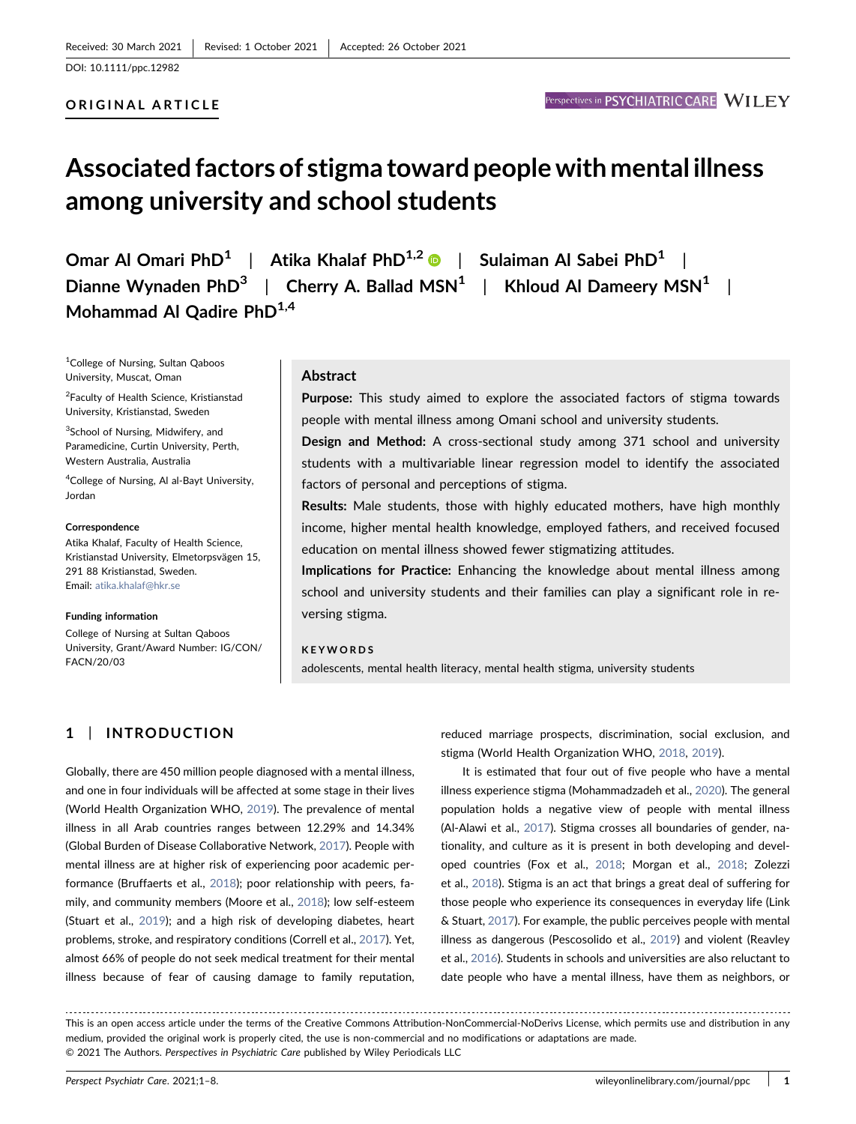## ORIGINAL ARTICLE

# Associated factors of stigma toward people with mental illness among university and school students

Omar Al Omari PhD<sup>1</sup> | Atika Khalaf PhD<sup>1,2</sup>  $\bullet$  | Sulaiman Al Sabei PhD<sup>1</sup> | Dianne Wynaden PhD<sup>3</sup> | Cherry A. Ballad MSN<sup>1</sup> | Khloud Al Dameery MSN<sup>1</sup> | Mohammad Al Qadire  $PhD<sup>1,4</sup>$ 

1 College of Nursing, Sultan Qaboos University, Muscat, Oman

2 Faculty of Health Science, Kristianstad University, Kristianstad, Sweden

<sup>3</sup>School of Nursing, Midwifery, and Paramedicine, Curtin University, Perth, Western Australia, Australia

4 College of Nursing, Al al‐Bayt University, Jordan

#### Correspondence

Atika Khalaf, Faculty of Health Science, Kristianstad University, Elmetorpsvägen 15, 291 88 Kristianstad, Sweden. Email: [atika.khalaf@hkr.se](mailto:atika.khalaf@hkr.se)

#### Funding information

College of Nursing at Sultan Qaboos University, Grant/Award Number: IG/CON/ FACN/20/03

## Abstract

Purpose: This study aimed to explore the associated factors of stigma towards people with mental illness among Omani school and university students.

Design and Method: A cross‐sectional study among 371 school and university students with a multivariable linear regression model to identify the associated factors of personal and perceptions of stigma.

Results: Male students, those with highly educated mothers, have high monthly income, higher mental health knowledge, employed fathers, and received focused education on mental illness showed fewer stigmatizing attitudes.

Implications for Practice: Enhancing the knowledge about mental illness among school and university students and their families can play a significant role in reversing stigma.

### KEYWORDS

adolescents, mental health literacy, mental health stigma, university students

# 1 | INTRODUCTION

Globally, there are 450 million people diagnosed with a mental illness, and one in four individuals will be affected at some stage in their lives (World Health Organization WHO, [2019](#page-7-0)). The prevalence of mental illness in all Arab countries ranges between 12.29% and 14.34% (Global Burden of Disease Collaborative Network, [2017\)](#page-6-0). People with mental illness are at higher risk of experiencing poor academic performance (Bruffaerts et al., [2018](#page-6-1)); poor relationship with peers, fa-mily, and community members (Moore et al., [2018](#page-7-1)); low self-esteem (Stuart et al., [2019](#page-7-2)); and a high risk of developing diabetes, heart problems, stroke, and respiratory conditions (Correll et al., [2017](#page-6-2)). Yet, almost 66% of people do not seek medical treatment for their mental illness because of fear of causing damage to family reputation,

reduced marriage prospects, discrimination, social exclusion, and stigma (World Health Organization WHO, [2018,](#page-7-3) [2019](#page-7-0)).

It is estimated that four out of five people who have a mental illness experience stigma (Mohammadzadeh et al., [2020](#page-7-4)). The general population holds a negative view of people with mental illness (Al‐Alawi et al., [2017](#page-6-3)). Stigma crosses all boundaries of gender, nationality, and culture as it is present in both developing and developed countries (Fox et al., [2018;](#page-6-4) Morgan et al., [2018;](#page-7-5) Zolezzi et al., [2018\)](#page-7-6). Stigma is an act that brings a great deal of suffering for those people who experience its consequences in everyday life (Link & Stuart, [2017](#page-7-7)). For example, the public perceives people with mental illness as dangerous (Pescosolido et al., [2019\)](#page-7-8) and violent (Reavley et al., [2016](#page-7-9)). Students in schools and universities are also reluctant to date people who have a mental illness, have them as neighbors, or

This is an open access article under the terms of the Creative Commons Attribution‐NonCommercial‐NoDerivs License, which permits use and distribution in any medium, provided the original work is properly cited, the use is non‐commercial and no modifications or adaptations are made. © 2021 The Authors. Perspectives in Psychiatric Care published by Wiley Periodicals LLC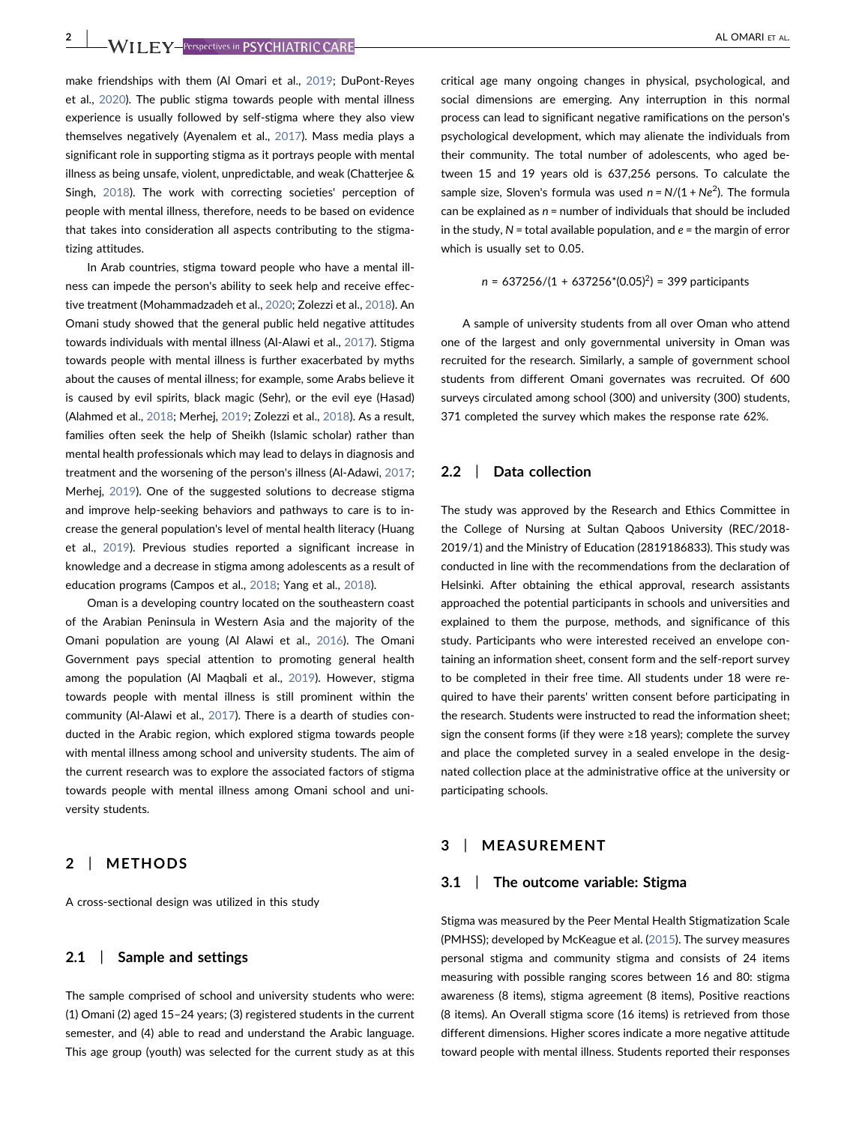make friendships with them (Al Omari et al., [2019;](#page-6-5) DuPont‐Reyes et al., [2020](#page-6-6)). The public stigma towards people with mental illness experience is usually followed by self‐stigma where they also view themselves negatively (Ayenalem et al., [2017\)](#page-6-7). Mass media plays a significant role in supporting stigma as it portrays people with mental illness as being unsafe, violent, unpredictable, and weak (Chatterjee & Singh, [2018](#page-6-8)). The work with correcting societies' perception of people with mental illness, therefore, needs to be based on evidence that takes into consideration all aspects contributing to the stigmatizing attitudes.

In Arab countries, stigma toward people who have a mental illness can impede the person's ability to seek help and receive effective treatment (Mohammadzadeh et al., [2020](#page-7-4); Zolezzi et al., [2018\)](#page-7-6). An Omani study showed that the general public held negative attitudes towards individuals with mental illness (Al‐Alawi et al., [2017](#page-6-3)). Stigma towards people with mental illness is further exacerbated by myths about the causes of mental illness; for example, some Arabs believe it is caused by evil spirits, black magic (Sehr), or the evil eye (Hasad) (Alahmed et al., [2018;](#page-6-9) Merhej, [2019;](#page-7-10) Zolezzi et al., [2018](#page-7-6)). As a result, families often seek the help of Sheikh (Islamic scholar) rather than mental health professionals which may lead to delays in diagnosis and treatment and the worsening of the person's illness (Al‐Adawi, [2017](#page-6-10); Merhej, [2019\)](#page-7-10). One of the suggested solutions to decrease stigma and improve help-seeking behaviors and pathways to care is to increase the general population's level of mental health literacy (Huang et al., [2019](#page-7-11)). Previous studies reported a significant increase in knowledge and a decrease in stigma among adolescents as a result of education programs (Campos et al., [2018](#page-6-11); Yang et al., [2018](#page-7-12)).

Oman is a developing country located on the southeastern coast of the Arabian Peninsula in Western Asia and the majority of the Omani population are young (Al Alawi et al., [2016\)](#page-6-12). The Omani Government pays special attention to promoting general health among the population (Al Maqbali et al., [2019](#page-6-13)). However, stigma towards people with mental illness is still prominent within the community (Al‐Alawi et al., [2017\)](#page-6-3). There is a dearth of studies conducted in the Arabic region, which explored stigma towards people with mental illness among school and university students. The aim of the current research was to explore the associated factors of stigma towards people with mental illness among Omani school and university students.

## 2 | METHODS

A cross‐sectional design was utilized in this study

## 2.1 | Sample and settings

The sample comprised of school and university students who were: (1) Omani (2) aged 15–24 years; (3) registered students in the current semester, and (4) able to read and understand the Arabic language. This age group (youth) was selected for the current study as at this

critical age many ongoing changes in physical, psychological, and social dimensions are emerging. Any interruption in this normal process can lead to significant negative ramifications on the person's psychological development, which may alienate the individuals from their community. The total number of adolescents, who aged between 15 and 19 years old is 637,256 persons. To calculate the sample size, Sloven's formula was used  $n = N/(1 + Ne^2)$ . The formula can be explained as  $n =$  number of individuals that should be included in the study,  $N =$  total available population, and  $e =$  the margin of error which is usually set to 0.05.

$$
n = 637256/(1 + 637256*(0.05)^2) = 399
$$
 participants

A sample of university students from all over Oman who attend one of the largest and only governmental university in Oman was recruited for the research. Similarly, a sample of government school students from different Omani governates was recruited. Of 600 surveys circulated among school (300) and university (300) students, 371 completed the survey which makes the response rate 62%.

## 2.2 | Data collection

The study was approved by the Research and Ethics Committee in the College of Nursing at Sultan Qaboos University (REC/2018‐ 2019/1) and the Ministry of Education (2819186833). This study was conducted in line with the recommendations from the declaration of Helsinki. After obtaining the ethical approval, research assistants approached the potential participants in schools and universities and explained to them the purpose, methods, and significance of this study. Participants who were interested received an envelope containing an information sheet, consent form and the self‐report survey to be completed in their free time. All students under 18 were required to have their parents' written consent before participating in the research. Students were instructed to read the information sheet; sign the consent forms (if they were ≥18 years); complete the survey and place the completed survey in a sealed envelope in the designated collection place at the administrative office at the university or participating schools.

# 3 | MEASUREMENT

#### 3.1 | The outcome variable: Stigma

Stigma was measured by the Peer Mental Health Stigmatization Scale (PMHSS); developed by McKeague et al. [\(2015\)](#page-7-13). The survey measures personal stigma and community stigma and consists of 24 items measuring with possible ranging scores between 16 and 80: stigma awareness (8 items), stigma agreement (8 items), Positive reactions (8 items). An Overall stigma score (16 items) is retrieved from those different dimensions. Higher scores indicate a more negative attitude toward people with mental illness. Students reported their responses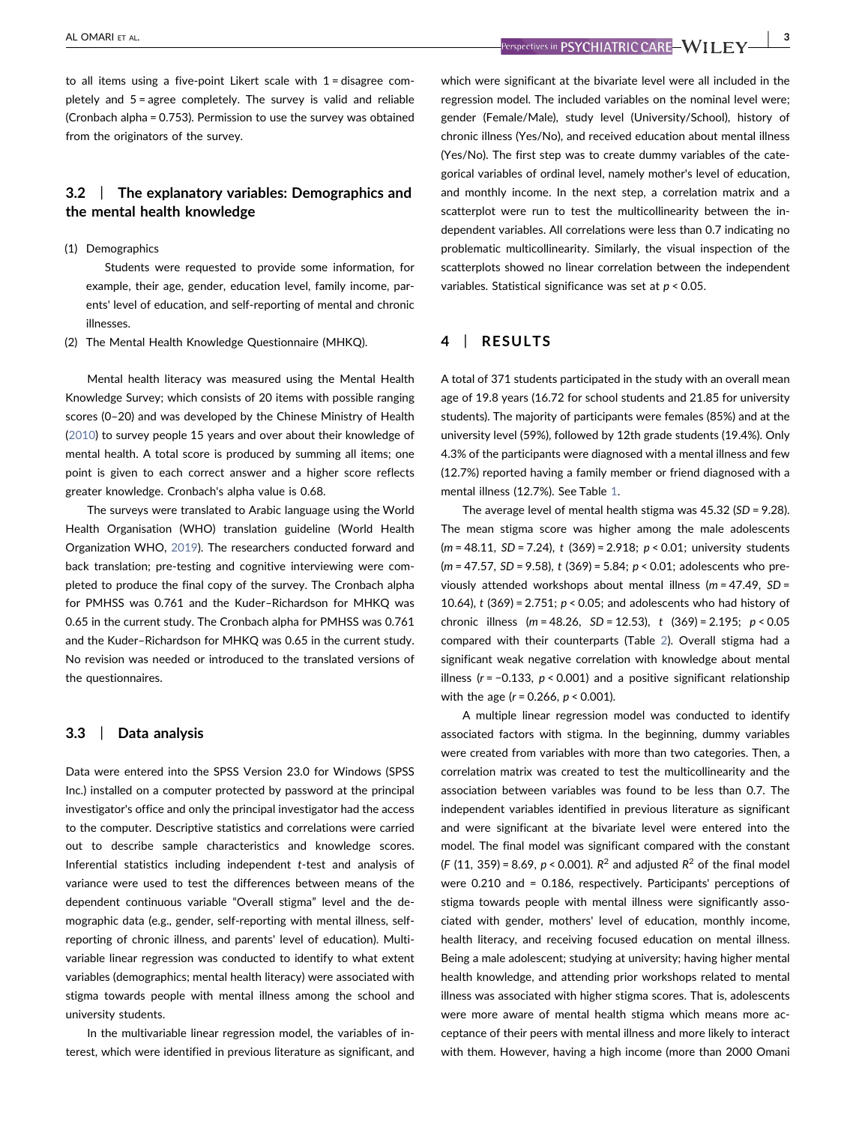to all items using a five‐point Likert scale with 1 = disagree completely and 5 = agree completely. The survey is valid and reliable (Cronbach alpha = 0.753). Permission to use the survey was obtained from the originators of the survey.

# 3.2 | The explanatory variables: Demographics and the mental health knowledge

#### (1) Demographics

Students were requested to provide some information, for example, their age, gender, education level, family income, parents' level of education, and self‐reporting of mental and chronic illnesses.

(2) The Mental Health Knowledge Questionnaire (MHKQ).

Mental health literacy was measured using the Mental Health Knowledge Survey; which consists of 20 items with possible ranging scores (0–20) and was developed by the Chinese Ministry of Health ([2010](#page-6-14)) to survey people 15 years and over about their knowledge of mental health. A total score is produced by summing all items; one point is given to each correct answer and a higher score reflects greater knowledge. Cronbach's alpha value is 0.68.

The surveys were translated to Arabic language using the World Health Organisation (WHO) translation guideline (World Health Organization WHO, [2019\)](#page-7-14). The researchers conducted forward and back translation; pre-testing and cognitive interviewing were completed to produce the final copy of the survey. The Cronbach alpha for PMHSS was 0.761 and the Kuder–Richardson for MHKQ was 0.65 in the current study. The Cronbach alpha for PMHSS was 0.761 and the Kuder–Richardson for MHKQ was 0.65 in the current study. No revision was needed or introduced to the translated versions of the questionnaires.

# 3.3 | Data analysis

Data were entered into the SPSS Version 23.0 for Windows (SPSS Inc.) installed on a computer protected by password at the principal investigator's office and only the principal investigator had the access to the computer. Descriptive statistics and correlations were carried out to describe sample characteristics and knowledge scores. Inferential statistics including independent t‐test and analysis of variance were used to test the differences between means of the dependent continuous variable "Overall stigma" level and the demographic data (e.g., gender, self‐reporting with mental illness, self‐ reporting of chronic illness, and parents' level of education). Multivariable linear regression was conducted to identify to what extent variables (demographics; mental health literacy) were associated with stigma towards people with mental illness among the school and university students.

In the multivariable linear regression model, the variables of interest, which were identified in previous literature as significant, and

which were significant at the bivariate level were all included in the regression model. The included variables on the nominal level were; gender (Female/Male), study level (University/School), history of chronic illness (Yes/No), and received education about mental illness (Yes/No). The first step was to create dummy variables of the categorical variables of ordinal level, namely mother's level of education, and monthly income. In the next step, a correlation matrix and a scatterplot were run to test the multicollinearity between the independent variables. All correlations were less than 0.7 indicating no problematic multicollinearity. Similarly, the visual inspection of the scatterplots showed no linear correlation between the independent variables. Statistical significance was set at  $p < 0.05$ .

# 4 | RESULTS

A total of 371 students participated in the study with an overall mean age of 19.8 years (16.72 for school students and 21.85 for university students). The majority of participants were females (85%) and at the university level (59%), followed by 12th grade students (19.4%). Only 4.3% of the participants were diagnosed with a mental illness and few (12.7%) reported having a family member or friend diagnosed with a mental illness (12.7%). See Table [1.](#page-3-0)

The average level of mental health stigma was 45.32 (SD = 9.28). The mean stigma score was higher among the male adolescents ( $m = 48.11$ ,  $SD = 7.24$ ), t (369) = 2.918;  $p < 0.01$ ; university students  $(m = 47.57, SD = 9.58), t (369) = 5.84; p < 0.01; adolescents who pre-$ viously attended workshops about mental illness ( $m = 47.49$ , SD = 10.64),  $t$  (369) = 2.751;  $p < 0.05$ ; and adolescents who had history of chronic illness ( $m = 48.26$ ,  $SD = 12.53$ ),  $t$  (369) = 2.195;  $p < 0.05$ compared with their counterparts (Table [2\)](#page-4-0). Overall stigma had a significant weak negative correlation with knowledge about mental illness ( $r = -0.133$ ,  $p < 0.001$ ) and a positive significant relationship with the age  $(r = 0.266, p < 0.001)$ .

A multiple linear regression model was conducted to identify associated factors with stigma. In the beginning, dummy variables were created from variables with more than two categories. Then, a correlation matrix was created to test the multicollinearity and the association between variables was found to be less than 0.7. The independent variables identified in previous literature as significant and were significant at the bivariate level were entered into the model. The final model was significant compared with the constant (F (11, 359) = 8.69,  $p < 0.001$ ).  $R^2$  and adjusted  $R^2$  of the final model were 0.210 and = 0.186, respectively. Participants' perceptions of stigma towards people with mental illness were significantly associated with gender, mothers' level of education, monthly income, health literacy, and receiving focused education on mental illness. Being a male adolescent; studying at university; having higher mental health knowledge, and attending prior workshops related to mental illness was associated with higher stigma scores. That is, adolescents were more aware of mental health stigma which means more acceptance of their peers with mental illness and more likely to interact with them. However, having a high income (more than 2000 Omani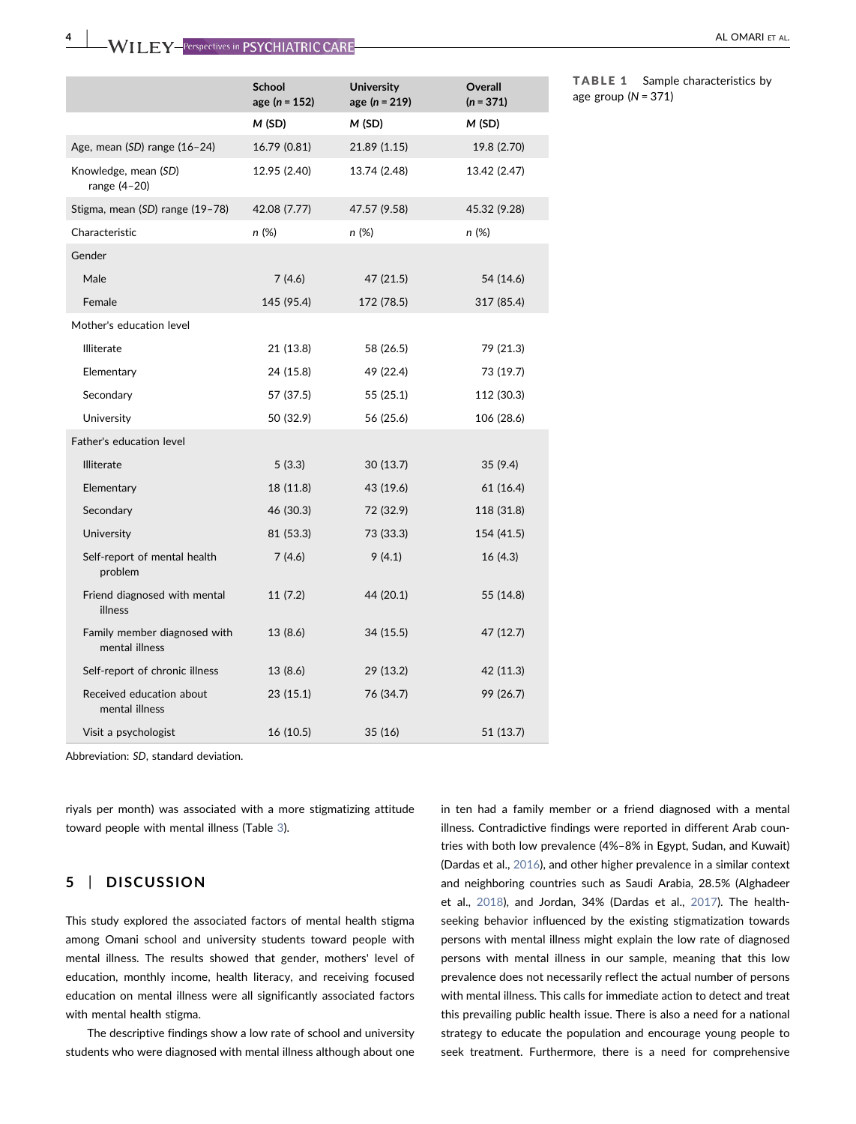|                                                | <b>School</b><br>age ( $n = 152$ ) | <b>University</b><br>age $(n = 219)$ | Overall<br>$(n = 371)$ |
|------------------------------------------------|------------------------------------|--------------------------------------|------------------------|
|                                                | M(SD)                              | M(SD)                                | M (SD)                 |
| Age, mean $(SD)$ range $(16-24)$               | 16.79 (0.81)                       | 21.89 (1.15)                         | 19.8 (2.70)            |
| Knowledge, mean (SD)<br>range $(4-20)$         | 12.95 (2.40)                       | 13.74 (2.48)                         | 13.42 (2.47)           |
| Stigma, mean (SD) range (19-78)                | 42.08 (7.77)                       | 47.57 (9.58)                         | 45.32 (9.28)           |
| Characteristic                                 | n (%)                              | n (%)                                | n (%)                  |
| Gender                                         |                                    |                                      |                        |
| Male                                           | 7(4.6)                             | 47 (21.5)                            | 54 (14.6)              |
| Female                                         | 145 (95.4)                         | 172 (78.5)                           | 317 (85.4)             |
| Mother's education level                       |                                    |                                      |                        |
| Illiterate                                     | 21 (13.8)                          | 58 (26.5)                            | 79 (21.3)              |
| Elementary                                     | 24 (15.8)                          | 49 (22.4)                            | 73 (19.7)              |
| Secondary                                      | 57 (37.5)                          | 55 (25.1)                            | 112 (30.3)             |
| University                                     | 50 (32.9)                          | 56 (25.6)                            | 106 (28.6)             |
| Father's education level                       |                                    |                                      |                        |
| <b>Illiterate</b>                              | 5(3.3)                             | 30 (13.7)                            | 35(9.4)                |
| Elementary                                     | 18 (11.8)                          | 43 (19.6)                            | 61 (16.4)              |
| Secondary                                      | 46 (30.3)                          | 72 (32.9)                            | 118 (31.8)             |
| University                                     | 81 (53.3)                          | 73 (33.3)                            | 154 (41.5)             |
| Self-report of mental health<br>problem        | 7(4.6)                             | 9(4.1)                               | 16(4.3)                |
| Friend diagnosed with mental<br>illness        | 11(7.2)                            | 44 (20.1)                            | 55 (14.8)              |
| Family member diagnosed with<br>mental illness | 13 (8.6)                           | 34 (15.5)                            | 47 (12.7)              |
| Self-report of chronic illness                 | 13 (8.6)                           | 29 (13.2)                            | 42 (11.3)              |
| Received education about<br>mental illness     | 23(15.1)                           | 76 (34.7)                            | 99 (26.7)              |
| Visit a psychologist                           | 16 (10.5)                          | 35 (16)                              | 51 (13.7)              |

<span id="page-3-0"></span>TABLE 1 Sample characteristics by age group  $(N = 371)$ 

Abbreviation: SD, standard deviation.

riyals per month) was associated with a more stigmatizing attitude toward people with mental illness (Table [3](#page-4-1)).

# 5 | DISCUSSION

This study explored the associated factors of mental health stigma among Omani school and university students toward people with mental illness. The results showed that gender, mothers' level of education, monthly income, health literacy, and receiving focused education on mental illness were all significantly associated factors with mental health stigma.

The descriptive findings show a low rate of school and university students who were diagnosed with mental illness although about one

in ten had a family member or a friend diagnosed with a mental illness. Contradictive findings were reported in different Arab countries with both low prevalence (4%–8% in Egypt, Sudan, and Kuwait) (Dardas et al., [2016\)](#page-6-15), and other higher prevalence in a similar context and neighboring countries such as Saudi Arabia, 28.5% (Alghadeer et al., [2018](#page-6-16)), and Jordan, 34% (Dardas et al., [2017](#page-6-17)). The health‐ seeking behavior influenced by the existing stigmatization towards persons with mental illness might explain the low rate of diagnosed persons with mental illness in our sample, meaning that this low prevalence does not necessarily reflect the actual number of persons with mental illness. This calls for immediate action to detect and treat this prevailing public health issue. There is also a need for a national strategy to educate the population and encourage young people to seek treatment. Furthermore, there is a need for comprehensive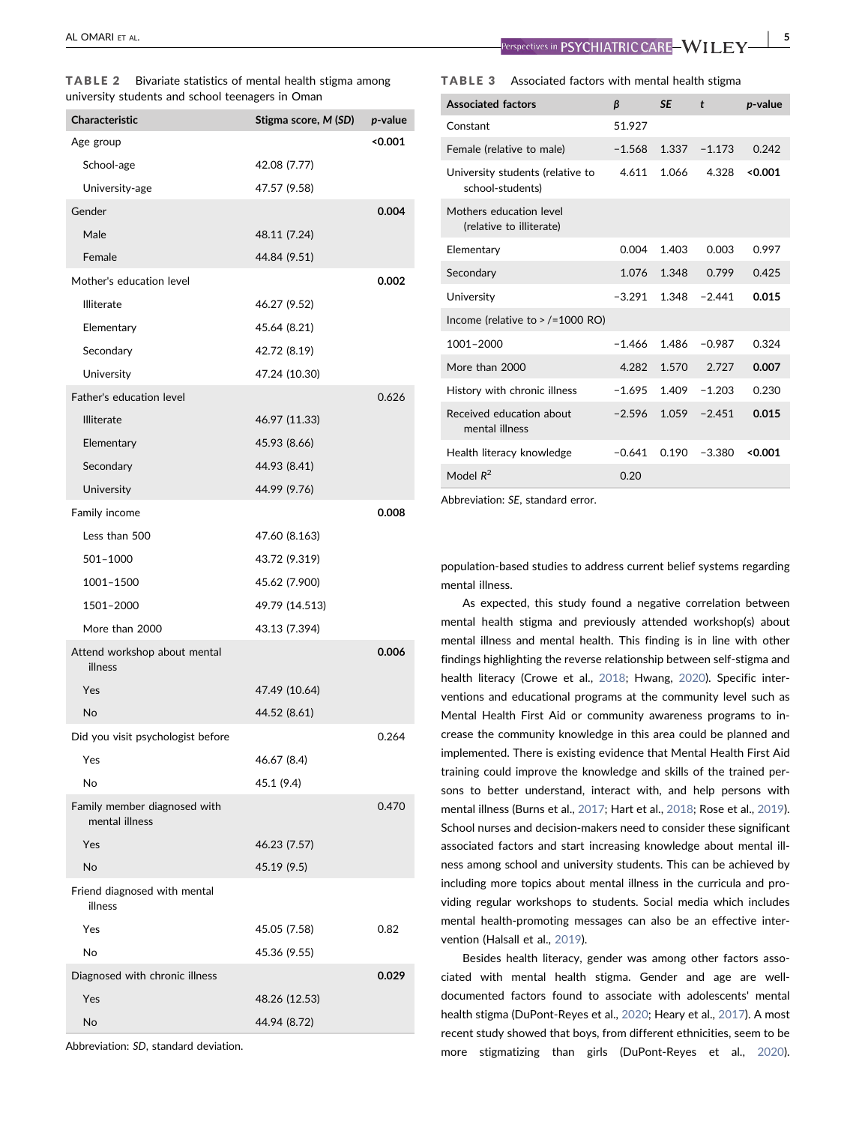<span id="page-4-0"></span>

| TABLE 2 Bivariate statistics of mental health stigma among |  |  |
|------------------------------------------------------------|--|--|
| university students and school teenagers in Oman           |  |  |

| Characteristic                                 | Stigma score, M (SD) | p-value |
|------------------------------------------------|----------------------|---------|
| Age group                                      |                      | < 0.001 |
| School-age                                     | 42.08 (7.77)         |         |
| University-age                                 | 47.57 (9.58)         |         |
| Gender                                         |                      | 0.004   |
| Male                                           | 48.11 (7.24)         |         |
| Female                                         | 44.84 (9.51)         |         |
| Mother's education level                       |                      | 0.002   |
| <b>Illiterate</b>                              | 46.27 (9.52)         |         |
| Elementary                                     | 45.64 (8.21)         |         |
| Secondary                                      | 42.72 (8.19)         |         |
| University                                     | 47.24 (10.30)        |         |
| Father's education level                       |                      | 0.626   |
| <b>Illiterate</b>                              | 46.97 (11.33)        |         |
| Elementary                                     | 45.93 (8.66)         |         |
| Secondary                                      | 44.93 (8.41)         |         |
| University                                     | 44.99 (9.76)         |         |
| Family income                                  |                      | 0.008   |
| Less than 500                                  | 47.60 (8.163)        |         |
| 501-1000                                       | 43.72 (9.319)        |         |
| 1001-1500                                      | 45.62 (7.900)        |         |
| 1501-2000                                      | 49.79 (14.513)       |         |
| More than 2000                                 | 43.13 (7.394)        |         |
| Attend workshop about mental<br>illness        |                      | 0.006   |
| Yes                                            | 47.49 (10.64)        |         |
| <b>No</b>                                      | 44.52 (8.61)         |         |
| Did you visit psychologist before              |                      | 0.264   |
| Yes                                            | 46.67 (8.4)          |         |
| <b>No</b>                                      | 45.1 (9.4)           |         |
| Family member diagnosed with<br>mental illness |                      | 0.470   |
| Yes                                            | 46.23 (7.57)         |         |
| No                                             | 45.19 (9.5)          |         |
| Friend diagnosed with mental<br>illness        |                      |         |
| Yes                                            | 45.05 (7.58)         | 0.82    |
| No                                             | 45.36 (9.55)         |         |
| Diagnosed with chronic illness                 |                      | 0.029   |
| Yes                                            | 48.26 (12.53)        |         |
| No                                             | 44.94 (8.72)         |         |
|                                                |                      |         |

Abbreviation: SD, standard deviation.

AL OMARI ET AL. | 5

#### <span id="page-4-1"></span>TABLE 3 Associated factors with mental health stigma

| <b>Associated factors</b>                            | ß        | <b>SE</b> | t        | <i>p</i> -value |
|------------------------------------------------------|----------|-----------|----------|-----------------|
| Constant                                             | 51.927   |           |          |                 |
| Female (relative to male)                            | $-1.568$ | 1.337     | $-1.173$ | 0.242           |
| University students (relative to<br>school-students) | 4.611    | 1.066     | 4.328    | < 0.001         |
| Mothers education level<br>(relative to illiterate)  |          |           |          |                 |
| Elementary                                           | 0.004    | 1.403     | 0.003    | 0.997           |
| Secondary                                            | 1.076    | 1.348     | 0.799    | 0.425           |
| University                                           | $-3.291$ | 1.348     | $-2.441$ | 0.015           |
| Income (relative to $>$ /=1000 RO)                   |          |           |          |                 |
| 1001-2000                                            | $-1.466$ | 1.486     | $-0.987$ | 0.324           |
| More than 2000                                       | 4.282    | 1.570     | 2.727    | 0.007           |
| History with chronic illness                         | $-1.695$ | 1.409     | $-1.203$ | 0.230           |
| Received education about<br>mental illness           | $-2.596$ | 1.059     | $-2.451$ | 0.015           |
| Health literacy knowledge                            | $-0.641$ | 0.190     | $-3.380$ | < 0.001         |
| Model $R^2$                                          | 0.20     |           |          |                 |

Abbreviation: SE, standard error.

population‐based studies to address current belief systems regarding mental illness.

As expected, this study found a negative correlation between mental health stigma and previously attended workshop(s) about mental illness and mental health. This finding is in line with other findings highlighting the reverse relationship between self‐stigma and health literacy (Crowe et al., [2018](#page-6-18); Hwang, [2020\)](#page-7-15). Specific interventions and educational programs at the community level such as Mental Health First Aid or community awareness programs to increase the community knowledge in this area could be planned and implemented. There is existing evidence that Mental Health First Aid training could improve the knowledge and skills of the trained persons to better understand, interact with, and help persons with mental illness (Burns et al., [2017;](#page-6-19) Hart et al., [2018](#page-6-20); Rose et al., [2019\)](#page-7-16). School nurses and decision-makers need to consider these significant associated factors and start increasing knowledge about mental illness among school and university students. This can be achieved by including more topics about mental illness in the curricula and providing regular workshops to students. Social media which includes mental health‐promoting messages can also be an effective intervention (Halsall et al., [2019\)](#page-6-21).

Besides health literacy, gender was among other factors associated with mental health stigma. Gender and age are well‐ documented factors found to associate with adolescents' mental health stigma (DuPont‐Reyes et al., [2020](#page-6-6); Heary et al., [2017](#page-6-22)). A most recent study showed that boys, from different ethnicities, seem to be more stigmatizing than girls (DuPont‐Reyes et al., [2020\)](#page-6-6).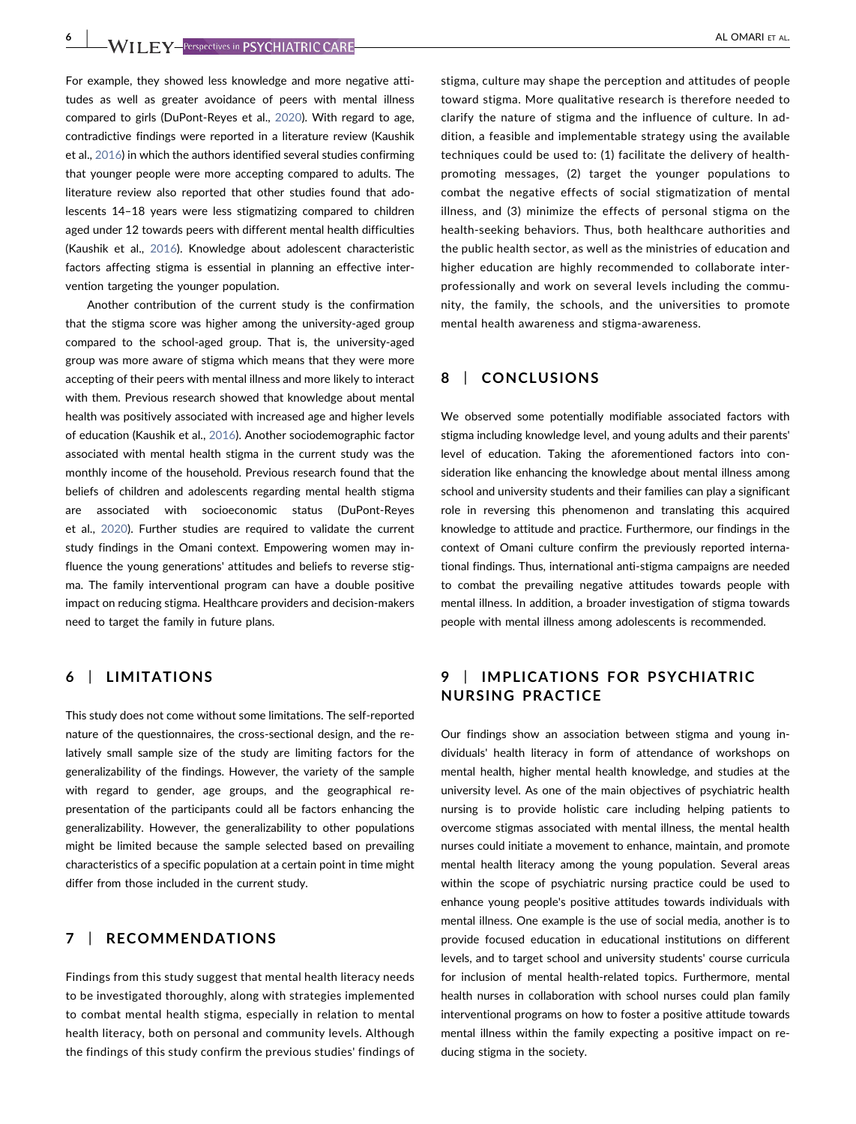For example, they showed less knowledge and more negative attitudes as well as greater avoidance of peers with mental illness compared to girls (DuPont‐Reyes et al., [2020\)](#page-6-6). With regard to age, contradictive findings were reported in a literature review (Kaushik et al., [2016\)](#page-7-17) in which the authors identified several studies confirming that younger people were more accepting compared to adults. The literature review also reported that other studies found that adolescents 14–18 years were less stigmatizing compared to children aged under 12 towards peers with different mental health difficulties (Kaushik et al., [2016](#page-7-17)). Knowledge about adolescent characteristic factors affecting stigma is essential in planning an effective intervention targeting the younger population.

Another contribution of the current study is the confirmation that the stigma score was higher among the university‐aged group compared to the school‐aged group. That is, the university‐aged group was more aware of stigma which means that they were more accepting of their peers with mental illness and more likely to interact with them. Previous research showed that knowledge about mental health was positively associated with increased age and higher levels of education (Kaushik et al., [2016](#page-7-17)). Another sociodemographic factor associated with mental health stigma in the current study was the monthly income of the household. Previous research found that the beliefs of children and adolescents regarding mental health stigma are associated with socioeconomic status (DuPont‐Reyes et al., [2020\)](#page-6-6). Further studies are required to validate the current study findings in the Omani context. Empowering women may influence the young generations' attitudes and beliefs to reverse stigma. The family interventional program can have a double positive impact on reducing stigma. Healthcare providers and decision‐makers need to target the family in future plans.

# 6 | LIMITATIONS

This study does not come without some limitations. The self‐reported nature of the questionnaires, the cross‐sectional design, and the relatively small sample size of the study are limiting factors for the generalizability of the findings. However, the variety of the sample with regard to gender, age groups, and the geographical representation of the participants could all be factors enhancing the generalizability. However, the generalizability to other populations might be limited because the sample selected based on prevailing characteristics of a specific population at a certain point in time might differ from those included in the current study.

# 7 | RECOMMENDATIONS

Findings from this study suggest that mental health literacy needs to be investigated thoroughly, along with strategies implemented to combat mental health stigma, especially in relation to mental health literacy, both on personal and community levels. Although the findings of this study confirm the previous studies' findings of

stigma, culture may shape the perception and attitudes of people toward stigma. More qualitative research is therefore needed to clarify the nature of stigma and the influence of culture. In addition, a feasible and implementable strategy using the available techniques could be used to: (1) facilitate the delivery of health‐ promoting messages, (2) target the younger populations to combat the negative effects of social stigmatization of mental illness, and (3) minimize the effects of personal stigma on the health‐seeking behaviors. Thus, both healthcare authorities and the public health sector, as well as the ministries of education and higher education are highly recommended to collaborate interprofessionally and work on several levels including the community, the family, the schools, and the universities to promote mental health awareness and stigma‐awareness.

# 8 | CONCLUSIONS

We observed some potentially modifiable associated factors with stigma including knowledge level, and young adults and their parents' level of education. Taking the aforementioned factors into consideration like enhancing the knowledge about mental illness among school and university students and their families can play a significant role in reversing this phenomenon and translating this acquired knowledge to attitude and practice. Furthermore, our findings in the context of Omani culture confirm the previously reported international findings. Thus, international anti‐stigma campaigns are needed to combat the prevailing negative attitudes towards people with mental illness. In addition, a broader investigation of stigma towards people with mental illness among adolescents is recommended.

# 9 | IMPLICATIONS FOR PSYCHIATRIC NURSING PRACTICE

Our findings show an association between stigma and young individuals' health literacy in form of attendance of workshops on mental health, higher mental health knowledge, and studies at the university level. As one of the main objectives of psychiatric health nursing is to provide holistic care including helping patients to overcome stigmas associated with mental illness, the mental health nurses could initiate a movement to enhance, maintain, and promote mental health literacy among the young population. Several areas within the scope of psychiatric nursing practice could be used to enhance young people's positive attitudes towards individuals with mental illness. One example is the use of social media, another is to provide focused education in educational institutions on different levels, and to target school and university students' course curricula for inclusion of mental health-related topics. Furthermore, mental health nurses in collaboration with school nurses could plan family interventional programs on how to foster a positive attitude towards mental illness within the family expecting a positive impact on reducing stigma in the society.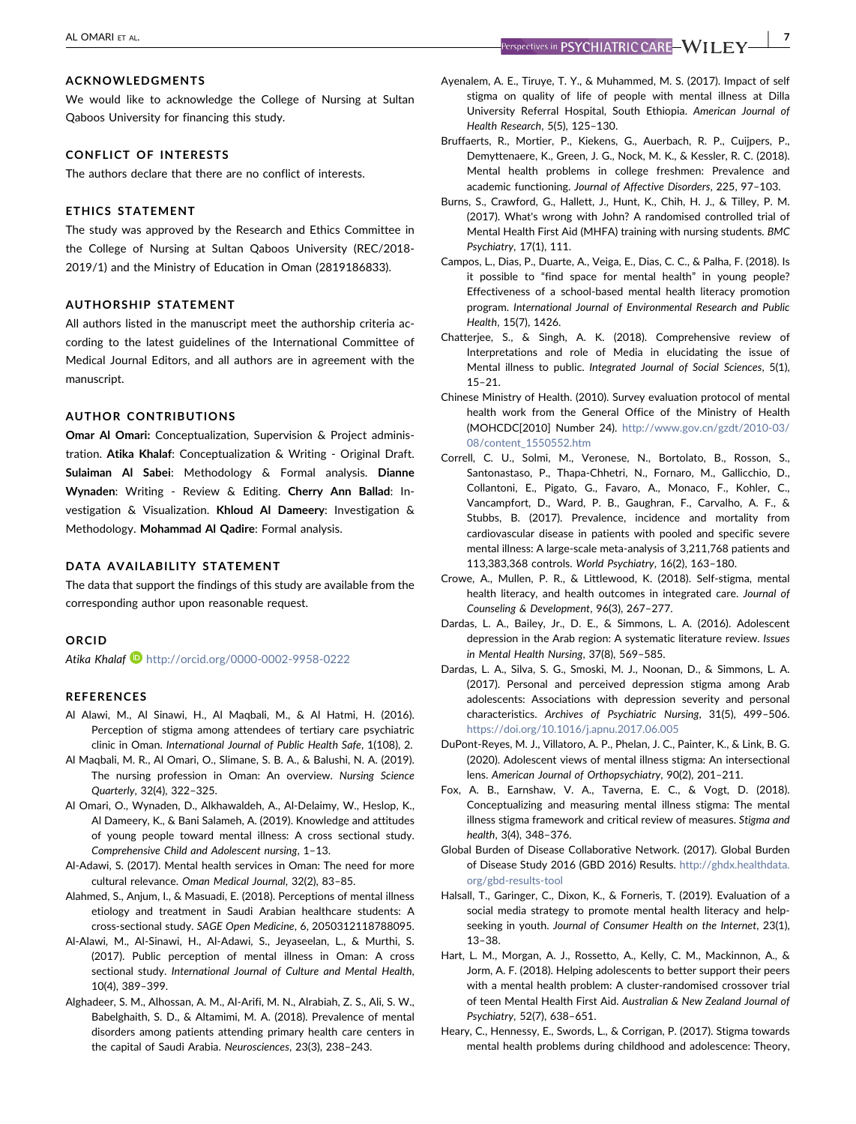#### ACKNOWLEDGMENTS

We would like to acknowledge the College of Nursing at Sultan Qaboos University for financing this study.

#### CONFLICT OF INTERESTS

The authors declare that there are no conflict of interests.

## ETHICS STATEMENT

The study was approved by the Research and Ethics Committee in the College of Nursing at Sultan Qaboos University (REC/2018‐ 2019/1) and the Ministry of Education in Oman (2819186833).

## AUTHORSHIP STATEMENT

All authors listed in the manuscript meet the authorship criteria according to the latest guidelines of the International Committee of Medical Journal Editors, and all authors are in agreement with the manuscript.

#### AUTHOR CONTRIBUTIONS

Omar Al Omari: Conceptualization, Supervision & Project administration. Atika Khalaf: Conceptualization & Writing ‐ Original Draft. Sulaiman Al Sabei: Methodology & Formal analysis. Dianne Wynaden: Writing - Review & Editing. Cherry Ann Ballad: Investigation & Visualization. Khloud Al Dameery: Investigation & Methodology. Mohammad Al Qadire: Formal analysis.

### DATA AVAILABILITY STATEMENT

The data that support the findings of this study are available from the corresponding author upon reasonable request.

# ORCID

Atika Khalaf <http://orcid.org/0000-0002-9958-0222>

#### REFERENCES

- <span id="page-6-12"></span>Al Alawi, M., Al Sinawi, H., Al Maqbali, M., & Al Hatmi, H. (2016). Perception of stigma among attendees of tertiary care psychiatric clinic in Oman. International Journal of Public Health Safe, 1(108), 2.
- <span id="page-6-13"></span>Al Maqbali, M. R., Al Omari, O., Slimane, S. B. A., & Balushi, N. A. (2019). The nursing profession in Oman: An overview. Nursing Science Quarterly, 32(4), 322–325.
- <span id="page-6-5"></span>Al Omari, O., Wynaden, D., Alkhawaldeh, A., Al‐Delaimy, W., Heslop, K., Al Dameery, K., & Bani Salameh, A. (2019). Knowledge and attitudes of young people toward mental illness: A cross sectional study. Comprehensive Child and Adolescent nursing, 1–13.
- <span id="page-6-10"></span>Al‐Adawi, S. (2017). Mental health services in Oman: The need for more cultural relevance. Oman Medical Journal, 32(2), 83–85.
- <span id="page-6-9"></span>Alahmed, S., Anjum, I., & Masuadi, E. (2018). Perceptions of mental illness etiology and treatment in Saudi Arabian healthcare students: A cross‐sectional study. SAGE Open Medicine, 6, 2050312118788095.
- <span id="page-6-3"></span>Al‐Alawi, M., Al‐Sinawi, H., Al‐Adawi, S., Jeyaseelan, L., & Murthi, S. (2017). Public perception of mental illness in Oman: A cross sectional study. International Journal of Culture and Mental Health, 10(4), 389–399.
- <span id="page-6-16"></span>Alghadeer, S. M., Alhossan, A. M., Al‐Arifi, M. N., Alrabiah, Z. S., Ali, S. W., Babelghaith, S. D., & Altamimi, M. A. (2018). Prevalence of mental disorders among patients attending primary health care centers in the capital of Saudi Arabia. Neurosciences, 23(3), 238–243.
- <span id="page-6-7"></span>Ayenalem, A. E., Tiruye, T. Y., & Muhammed, M. S. (2017). Impact of self stigma on quality of life of people with mental illness at Dilla University Referral Hospital, South Ethiopia. American Journal of Health Research, 5(5), 125–130.
- <span id="page-6-1"></span>Bruffaerts, R., Mortier, P., Kiekens, G., Auerbach, R. P., Cuijpers, P., Demyttenaere, K., Green, J. G., Nock, M. K., & Kessler, R. C. (2018). Mental health problems in college freshmen: Prevalence and academic functioning. Journal of Affective Disorders, 225, 97–103.
- <span id="page-6-19"></span>Burns, S., Crawford, G., Hallett, J., Hunt, K., Chih, H. J., & Tilley, P. M. (2017). What's wrong with John? A randomised controlled trial of Mental Health First Aid (MHFA) training with nursing students. BMC Psychiatry, 17(1), 111.
- <span id="page-6-11"></span>Campos, L., Dias, P., Duarte, A., Veiga, E., Dias, C. C., & Palha, F. (2018). Is it possible to "find space for mental health" in young people? Effectiveness of a school‐based mental health literacy promotion program. International Journal of Environmental Research and Public Health, 15(7), 1426.
- <span id="page-6-8"></span>Chatterjee, S., & Singh, A. K. (2018). Comprehensive review of Interpretations and role of Media in elucidating the issue of Mental illness to public. Integrated Journal of Social Sciences, 5(1), 15–21.
- <span id="page-6-14"></span>Chinese Ministry of Health. (2010). Survey evaluation protocol of mental health work from the General Office of the Ministry of Health (MOHCDC[2010] Number 24). [http://www.gov.cn/gzdt/2010-03/](http://www.gov.cn/gzdt/2010-03/08/content_1550552.htm) [08/content\\_1550552.htm](http://www.gov.cn/gzdt/2010-03/08/content_1550552.htm)
- <span id="page-6-2"></span>Correll, C. U., Solmi, M., Veronese, N., Bortolato, B., Rosson, S., Santonastaso, P., Thapa‐Chhetri, N., Fornaro, M., Gallicchio, D., Collantoni, E., Pigato, G., Favaro, A., Monaco, F., Kohler, C., Vancampfort, D., Ward, P. B., Gaughran, F., Carvalho, A. F., & Stubbs, B. (2017). Prevalence, incidence and mortality from cardiovascular disease in patients with pooled and specific severe mental illness: A large‐scale meta‐analysis of 3,211,768 patients and 113,383,368 controls. World Psychiatry, 16(2), 163–180.
- <span id="page-6-18"></span>Crowe, A., Mullen, P. R., & Littlewood, K. (2018). Self‐stigma, mental health literacy, and health outcomes in integrated care. Journal of Counseling & Development, 96(3), 267–277.
- <span id="page-6-15"></span>Dardas, L. A., Bailey, Jr., D. E., & Simmons, L. A. (2016). Adolescent depression in the Arab region: A systematic literature review. Issues in Mental Health Nursing, 37(8), 569–585.
- <span id="page-6-17"></span>Dardas, L. A., Silva, S. G., Smoski, M. J., Noonan, D., & Simmons, L. A. (2017). Personal and perceived depression stigma among Arab adolescents: Associations with depression severity and personal characteristics. Archives of Psychiatric Nursing, 31(5), 499–506. <https://doi.org/10.1016/j.apnu.2017.06.005>
- <span id="page-6-6"></span>DuPont‐Reyes, M. J., Villatoro, A. P., Phelan, J. C., Painter, K., & Link, B. G. (2020). Adolescent views of mental illness stigma: An intersectional lens. American Journal of Orthopsychiatry, 90(2), 201–211.
- <span id="page-6-4"></span>Fox, A. B., Earnshaw, V. A., Taverna, E. C., & Vogt, D. (2018). Conceptualizing and measuring mental illness stigma: The mental illness stigma framework and critical review of measures. Stigma and health, 3(4), 348–376.
- <span id="page-6-0"></span>Global Burden of Disease Collaborative Network. (2017). Global Burden of Disease Study 2016 (GBD 2016) Results. [http://ghdx.healthdata.](http://ghdx.healthdata.org/gbd-results-tool) [org/gbd-results-tool](http://ghdx.healthdata.org/gbd-results-tool)
- <span id="page-6-21"></span>Halsall, T., Garinger, C., Dixon, K., & Forneris, T. (2019). Evaluation of a social media strategy to promote mental health literacy and helpseeking in youth. Journal of Consumer Health on the Internet, 23(1), 13–38.
- <span id="page-6-20"></span>Hart, L. M., Morgan, A. J., Rossetto, A., Kelly, C. M., Mackinnon, A., & Jorm, A. F. (2018). Helping adolescents to better support their peers with a mental health problem: A cluster-randomised crossover trial of teen Mental Health First Aid. Australian & New Zealand Journal of Psychiatry, 52(7), 638–651.
- <span id="page-6-22"></span>Heary, C., Hennessy, E., Swords, L., & Corrigan, P. (2017). Stigma towards mental health problems during childhood and adolescence: Theory,